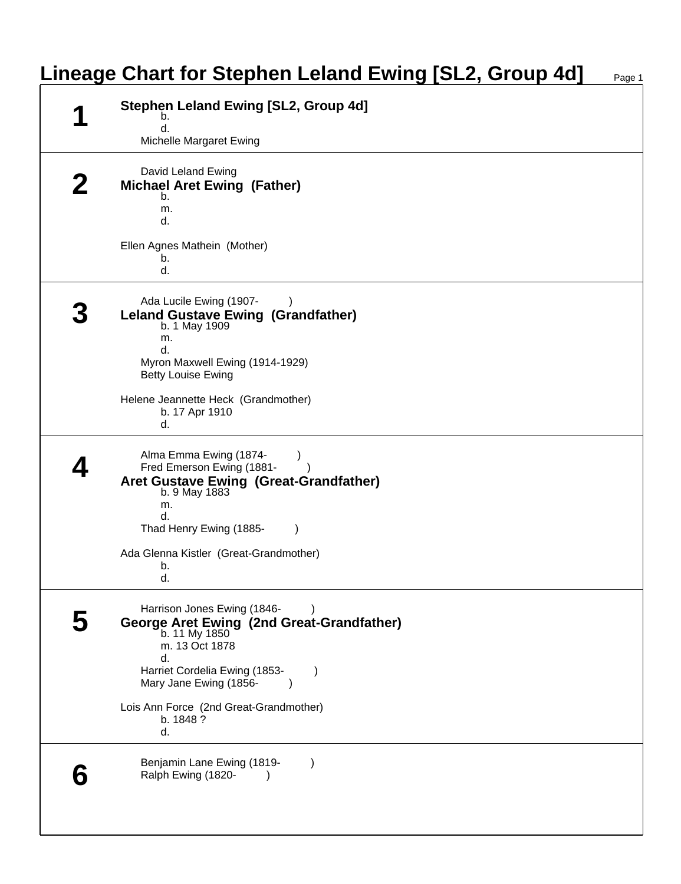|  | <b>Stephen Leland Ewing [SL2, Group 4d]</b><br>b.                                           |
|--|---------------------------------------------------------------------------------------------|
|  | d.<br>Michelle Margaret Ewing                                                               |
|  | David Leland Ewing                                                                          |
|  | <b>Michael Aret Ewing (Father)</b><br>b.                                                    |
|  | m.<br>d.                                                                                    |
|  | Ellen Agnes Mathein (Mother)                                                                |
|  | b.<br>d.                                                                                    |
|  | Ada Lucile Ewing (1907-                                                                     |
|  | <b>Leland Gustave Ewing (Grandfather)</b><br>b. 1 May 1909                                  |
|  | m.<br>d.                                                                                    |
|  | Myron Maxwell Ewing (1914-1929)<br><b>Betty Louise Ewing</b>                                |
|  | Helene Jeannette Heck (Grandmother)                                                         |
|  | b. 17 Apr 1910<br>d.                                                                        |
|  | Alma Emma Ewing (1874-                                                                      |
|  | Fred Emerson Ewing (1881-<br><b>Aret Gustave Ewing (Great-Grandfather)</b><br>b. 9 May 1883 |
|  | m.                                                                                          |
|  | d.<br>Thad Henry Ewing (1885-                                                               |
|  | Ada Glenna Kistler (Great-Grandmother)                                                      |
|  | b.<br>d.                                                                                    |
|  | Harrison Jones Ewing (1846-                                                                 |
|  | George Aret Ewing (2nd Great-Grandfather)<br>b. 11 My 1850                                  |
|  | m. 13 Oct 1878<br>d.                                                                        |
|  | Harriet Cordelia Ewing (1853-<br>Mary Jane Ewing (1856-                                     |
|  | Lois Ann Force (2nd Great-Grandmother)                                                      |
|  | b. 1848?<br>d.                                                                              |
|  | Benjamin Lane Ewing (1819-                                                                  |
|  | Ralph Ewing (1820-                                                                          |